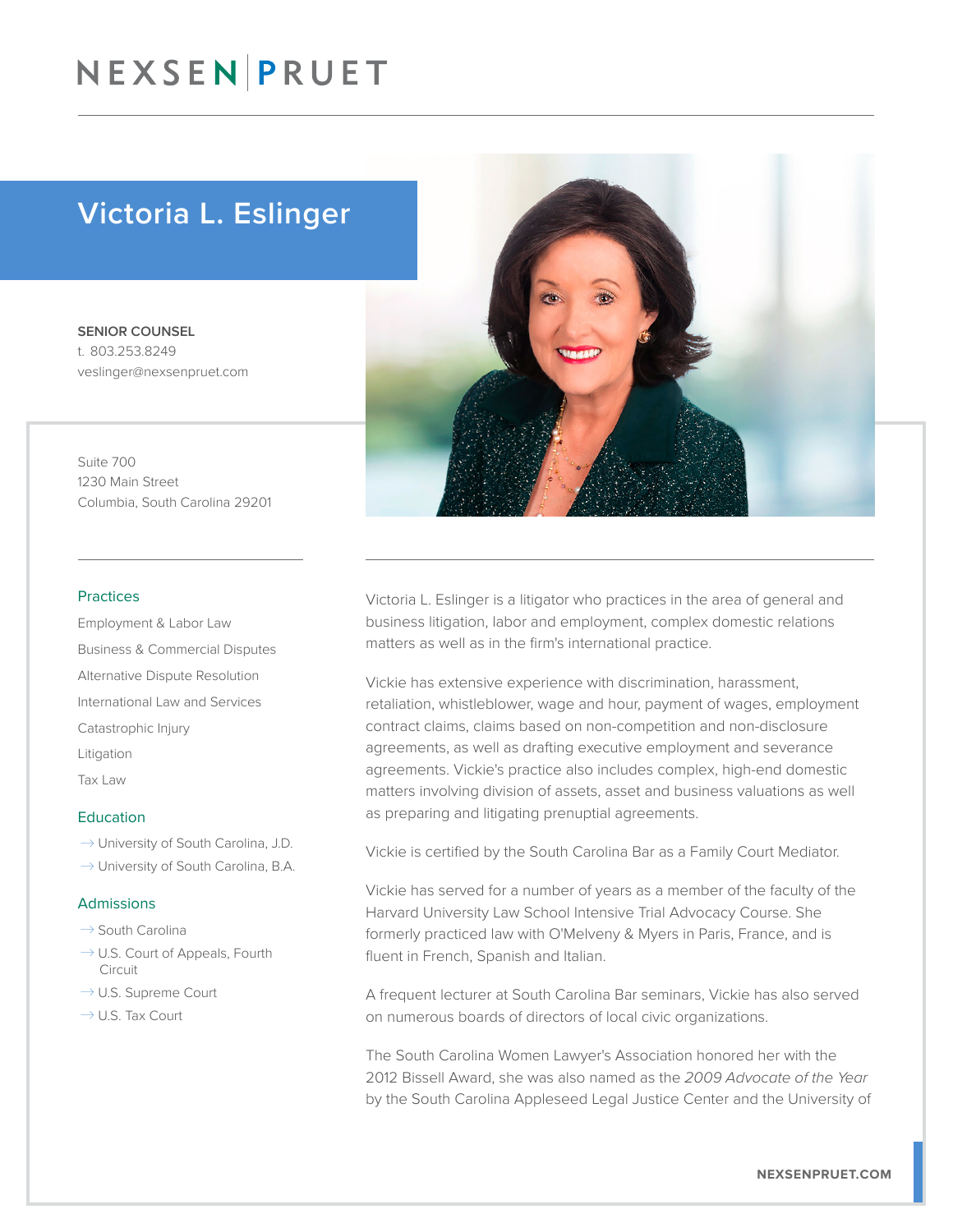### NEXSEN PRUET

### Victoria L. Eslinger

SENIOR COUNSEL t. 803.253.8249 veslinger@nexsenpruet.com

Suite 700 1230 Main Street Columbia, South Carolina 29201

### Practices

Employment & Labor Law Business & Commercial Disputes Alternative Dispute Resolution International Law and Services Catastrophic Injury Litigation Tax Law

#### **Education**

- $\rightarrow$  University of South Carolina, J.D.
- $\rightarrow$  University of South Carolina, B.A.

#### Admissions

- $\rightarrow$  South Carolina
- $\rightarrow$  U.S. Court of Appeals, Fourth Circuit
- $\rightarrow$  U.S. Supreme Court
- $\rightarrow$  U.S. Tax Court



Victoria L. Eslinger is a litigator who practices in the area of general and business litigation, labor and employment, complex domestic relations matters as well as in the firm's international practice.

Vickie has extensive experience with discrimination, harassment, retaliation, whistleblower, wage and hour, payment of wages, employment contract claims, claims based on non-competition and non-disclosure agreements, as well as drafting executive employment and severance agreements. Vickie's practice also includes complex, high-end domestic matters involving division of assets, asset and business valuations as well as preparing and litigating prenuptial agreements.

Vickie is certified by the South Carolina Bar as a Family Court Mediator.

Vickie has served for a number of years as a member of the faculty of the Harvard University Law School Intensive Trial Advocacy Course. She formerly practiced law with O'Melveny & Myers in Paris, France, and is fluent in French, Spanish and Italian.

A frequent lecturer at South Carolina Bar seminars, Vickie has also served on numerous boards of directors of local civic organizations.

The South Carolina Women Lawyer's Association honored her with the 2012 Bissell Award, she was also named as the *2009 Advocate of the Year* by the South Carolina Appleseed Legal Justice Center and the University of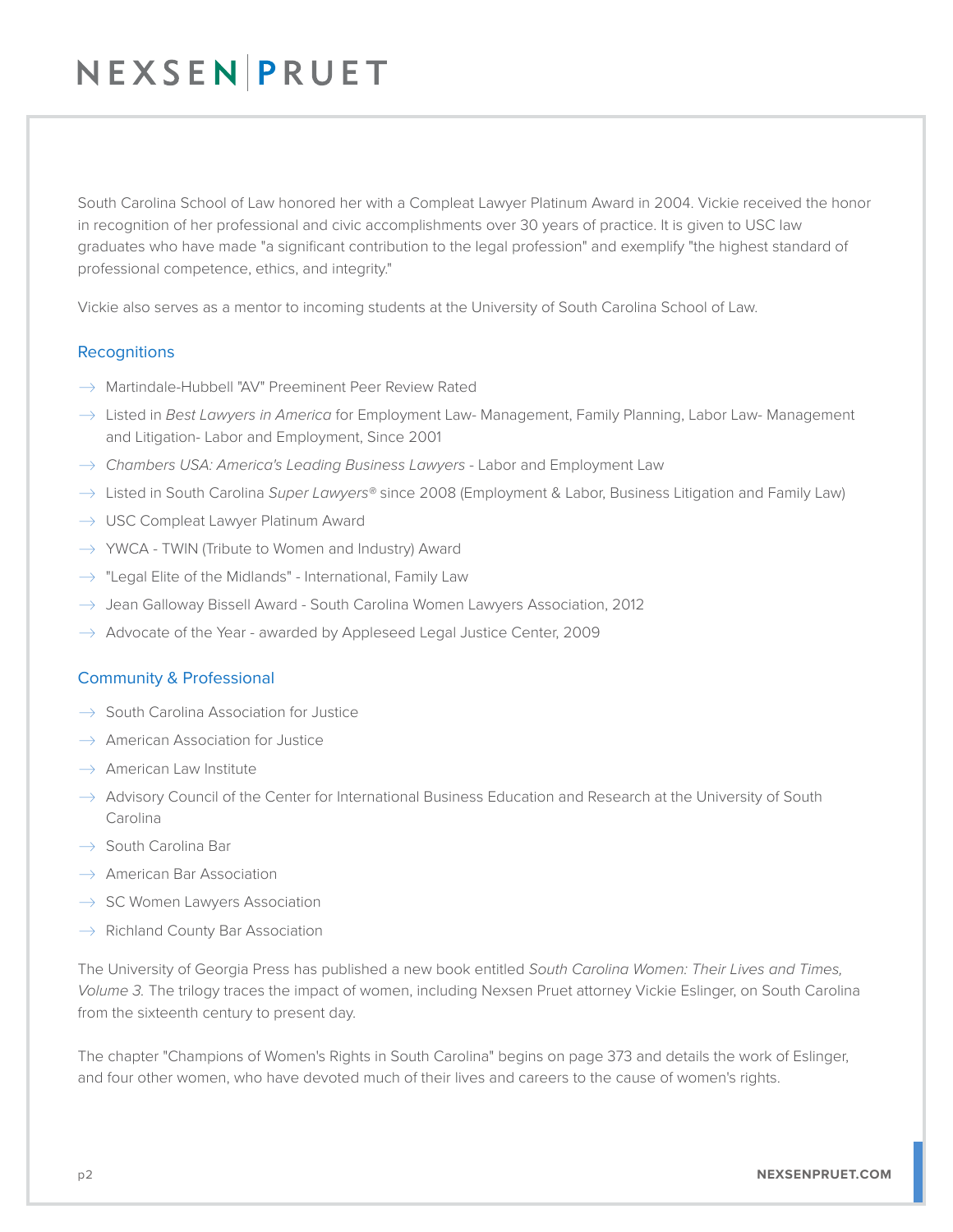# NEXSEN PRUET

South Carolina School of Law honored her with a Compleat Lawyer Platinum Award in 2004. Vickie received the honor in recognition of her professional and civic accomplishments over 30 years of practice. It is given to USC law graduates who have made "a significant contribution to the legal profession" and exemplify "the highest standard of professional competence, ethics, and integrity."

Vickie also serves as a mentor to incoming students at the University of South Carolina School of Law.

### **Recognitions**

- $\rightarrow$  Martindale-Hubbell "AV" Preeminent Peer Review Rated
- � Listed in *Best Lawyers in America* for Employment Law- Management, Family Planning, Labor Law- Management and Litigation- Labor and Employment, Since 2001
- → *Chambers USA: America's Leading Business Lawyers* Labor and Employment Law
- � Listed in South Carolina *Super Lawyers®* since 2008 (Employment & Labor, Business Litigation and Family Law)
- $\rightarrow$  USC Compleat Lawyer Platinum Award
- $\rightarrow$  YWCA TWIN (Tribute to Women and Industry) Award
- $\rightarrow$  "Legal Elite of the Midlands" International, Family Law
- $\rightarrow$  Jean Galloway Bissell Award South Carolina Women Lawyers Association, 2012
- $\rightarrow$  Advocate of the Year awarded by Appleseed Legal Justice Center, 2009

### Community & Professional

- $\rightarrow$  South Carolina Association for Justice
- $\rightarrow$  American Association for Justice
- $\rightarrow$  American Law Institute
- $\rightarrow$  Advisory Council of the Center for International Business Education and Research at the University of South Carolina
- $\rightarrow$  South Carolina Bar
- $\rightarrow$  American Bar Association
- $\rightarrow$  SC Women Lawyers Association
- $\rightarrow$  Richland County Bar Association

The University of Georgia Press has published a new book entitled *South Carolina Women: Their Lives and Times, Volume 3.* The trilogy traces the impact of women, including Nexsen Pruet attorney Vickie Eslinger, on South Carolina from the sixteenth century to present day.

The chapter "Champions of Women's Rights in South Carolina" begins on page 373 and details the work of Eslinger, and four other women, who have devoted much of their lives and careers to the cause of women's rights.